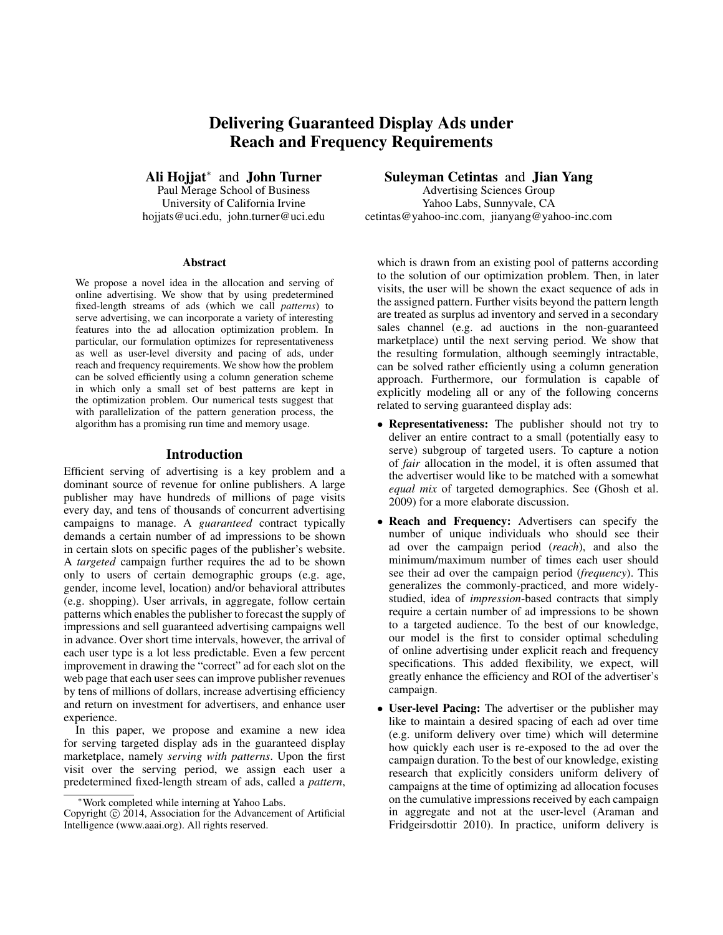# Delivering Guaranteed Display Ads under Reach and Frequency Requirements

Ali Hojjat<sup>∗</sup> and John Turner

Paul Merage School of Business University of California Irvine hojjats@uci.edu, john.turner@uci.edu

#### Abstract

We propose a novel idea in the allocation and serving of online advertising. We show that by using predetermined fixed-length streams of ads (which we call *patterns*) to serve advertising, we can incorporate a variety of interesting features into the ad allocation optimization problem. In particular, our formulation optimizes for representativeness as well as user-level diversity and pacing of ads, under reach and frequency requirements. We show how the problem can be solved efficiently using a column generation scheme in which only a small set of best patterns are kept in the optimization problem. Our numerical tests suggest that with parallelization of the pattern generation process, the algorithm has a promising run time and memory usage.

## Introduction

Efficient serving of advertising is a key problem and a dominant source of revenue for online publishers. A large publisher may have hundreds of millions of page visits every day, and tens of thousands of concurrent advertising campaigns to manage. A *guaranteed* contract typically demands a certain number of ad impressions to be shown in certain slots on specific pages of the publisher's website. A *targeted* campaign further requires the ad to be shown only to users of certain demographic groups (e.g. age, gender, income level, location) and/or behavioral attributes (e.g. shopping). User arrivals, in aggregate, follow certain patterns which enables the publisher to forecast the supply of impressions and sell guaranteed advertising campaigns well in advance. Over short time intervals, however, the arrival of each user type is a lot less predictable. Even a few percent improvement in drawing the "correct" ad for each slot on the web page that each user sees can improve publisher revenues by tens of millions of dollars, increase advertising efficiency and return on investment for advertisers, and enhance user experience.

In this paper, we propose and examine a new idea for serving targeted display ads in the guaranteed display marketplace, namely *serving with patterns*. Upon the first visit over the serving period, we assign each user a predetermined fixed-length stream of ads, called a *pattern*, Suleyman Cetintas and Jian Yang

Advertising Sciences Group Yahoo Labs, Sunnyvale, CA cetintas@yahoo-inc.com, jianyang@yahoo-inc.com

which is drawn from an existing pool of patterns according to the solution of our optimization problem. Then, in later visits, the user will be shown the exact sequence of ads in the assigned pattern. Further visits beyond the pattern length are treated as surplus ad inventory and served in a secondary sales channel (e.g. ad auctions in the non-guaranteed marketplace) until the next serving period. We show that the resulting formulation, although seemingly intractable, can be solved rather efficiently using a column generation approach. Furthermore, our formulation is capable of explicitly modeling all or any of the following concerns related to serving guaranteed display ads:

- Representativeness: The publisher should not try to deliver an entire contract to a small (potentially easy to serve) subgroup of targeted users. To capture a notion of *fair* allocation in the model, it is often assumed that the advertiser would like to be matched with a somewhat *equal mix* of targeted demographics. See (Ghosh et al. 2009) for a more elaborate discussion.
- Reach and Frequency: Advertisers can specify the number of unique individuals who should see their ad over the campaign period (*reach*), and also the minimum/maximum number of times each user should see their ad over the campaign period (*frequency*). This generalizes the commonly-practiced, and more widelystudied, idea of *impression*-based contracts that simply require a certain number of ad impressions to be shown to a targeted audience. To the best of our knowledge, our model is the first to consider optimal scheduling of online advertising under explicit reach and frequency specifications. This added flexibility, we expect, will greatly enhance the efficiency and ROI of the advertiser's campaign.
- User-level Pacing: The advertiser or the publisher may like to maintain a desired spacing of each ad over time (e.g. uniform delivery over time) which will determine how quickly each user is re-exposed to the ad over the campaign duration. To the best of our knowledge, existing research that explicitly considers uniform delivery of campaigns at the time of optimizing ad allocation focuses on the cumulative impressions received by each campaign in aggregate and not at the user-level (Araman and Fridgeirsdottir 2010). In practice, uniform delivery is

<sup>∗</sup>Work completed while interning at Yahoo Labs.

Copyright © 2014, Association for the Advancement of Artificial Intelligence (www.aaai.org). All rights reserved.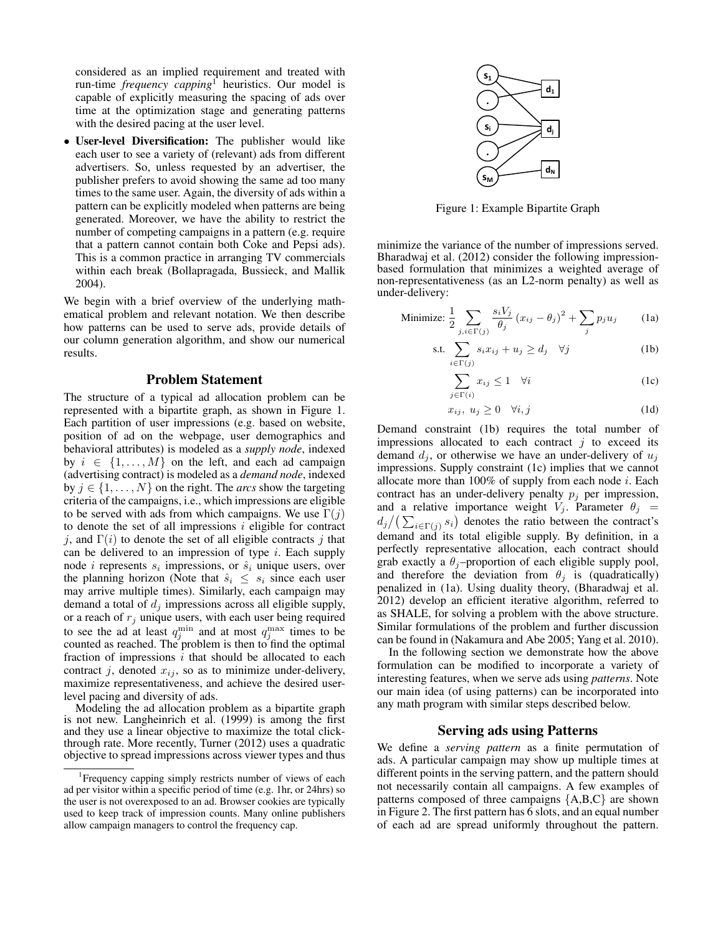considered as an implied requirement and treated with run-time *frequency capping*<sup>1</sup> heuristics. Our model is capable of explicitly measuring the spacing of ads over time at the optimization stage and generating patterns with the desired pacing at the user level.

• User-level Diversification: The publisher would like each user to see a variety of (relevant) ads from different advertisers. So, unless requested by an advertiser, the publisher prefers to avoid showing the same ad too many times to the same user. Again, the diversity of ads within a pattern can be explicitly modeled when patterns are being generated. Moreover, we have the ability to restrict the number of competing campaigns in a pattern (e.g. require that a pattern cannot contain both Coke and Pepsi ads). This is a common practice in arranging TV commercials within each break (Bollapragada, Bussieck, and Mallik 2004).

We begin with a brief overview of the underlying mathematical problem and relevant notation. We then describe how patterns can be used to serve ads, provide details of our column generation algorithm, and show our numerical results.

#### Problem Statement

The structure of a typical ad allocation problem can be represented with a bipartite graph, as shown in Figure 1. Each partition of user impressions (e.g. based on website, position of ad on the webpage, user demographics and behavioral attributes) is modeled as a *supply node*, indexed by  $i \in \{1, \ldots, M\}$  on the left, and each ad campaign (advertising contract) is modeled as a *demand node*, indexed by  $j \in \{1, \ldots, N\}$  on the right. The *arcs* show the targeting criteria of the campaigns, i.e., which impressions are eligible to be served with ads from which campaigns. We use  $\Gamma(j)$ to denote the set of all impressions  $i$  eligible for contract j, and  $\Gamma(i)$  to denote the set of all eligible contracts j that can be delivered to an impression of type  $i$ . Each supply node *i* represents  $s_i$  impressions, or  $\hat{s}_i$  unique users, over the planning horizon (Note that  $\hat{s}_i \leq s_i$  since each user may arrive multiple times). Similarly, each campaign may demand a total of  $d_j$  impressions across all eligible supply, or a reach of  $r_j$  unique users, with each user being required to see the ad at least  $q_j^{\text{min}}$  and at most  $q_j^{\text{max}}$  times to be counted as reached. The problem is then to find the optimal fraction of impressions  $i$  that should be allocated to each contract j, denoted  $x_{ij}$ , so as to minimize under-delivery, maximize representativeness, and achieve the desired userlevel pacing and diversity of ads.

Modeling the ad allocation problem as a bipartite graph is not new. Langheinrich et al. (1999) is among the first and they use a linear objective to maximize the total clickthrough rate. More recently, Turner (2012) uses a quadratic objective to spread impressions across viewer types and thus



Figure 1: Example Bipartite Graph

minimize the variance of the number of impressions served. Bharadwaj et al. (2012) consider the following impressionbased formulation that minimizes a weighted average of non-representativeness (as an L2-norm penalty) as well as under-delivery:

Minimize: 
$$
\frac{1}{2} \sum_{j,i \in \Gamma(j)} \frac{s_i V_j}{\theta_j} (x_{ij} - \theta_j)^2 + \sum_j p_j u_j \qquad (1a)
$$

$$
\text{s.t.} \sum_{i \in \Gamma(j)} s_i x_{ij} + u_j \ge d_j \quad \forall j \tag{1b}
$$

$$
\sum_{j \in \Gamma(i)} x_{ij} \le 1 \quad \forall i \tag{1c}
$$

$$
x_{ij}, \ u_j \ge 0 \quad \forall i, j \tag{1d}
$$

Demand constraint (1b) requires the total number of impressions allocated to each contract  $j$  to exceed its demand  $d_j$ , or otherwise we have an under-delivery of  $u_j$ impressions. Supply constraint (1c) implies that we cannot allocate more than  $100\%$  of supply from each node i. Each contract has an under-delivery penalty  $p_j$  per impression, and a relative importance weight  $V_j$ . Parameter  $\theta_j$  =  $d_j/(\sum_{i \in \Gamma(j)} s_i)$  denotes the ratio between the contract's demand and its total eligible supply. By definition, in a perfectly representative allocation, each contract should grab exactly a  $\theta_j$ -proportion of each eligible supply pool, and therefore the deviation from  $\theta_j$  is (quadratically) penalized in (1a). Using duality theory, (Bharadwaj et al. 2012) develop an efficient iterative algorithm, referred to as SHALE, for solving a problem with the above structure. Similar formulations of the problem and further discussion can be found in (Nakamura and Abe 2005; Yang et al. 2010).

In the following section we demonstrate how the above formulation can be modified to incorporate a variety of interesting features, when we serve ads using *patterns*. Note our main idea (of using patterns) can be incorporated into any math program with similar steps described below.

# Serving ads using Patterns

We define a *serving pattern* as a finite permutation of ads. A particular campaign may show up multiple times at different points in the serving pattern, and the pattern should not necessarily contain all campaigns. A few examples of patterns composed of three campaigns {A,B,C} are shown in Figure 2. The first pattern has 6 slots, and an equal number of each ad are spread uniformly throughout the pattern.

<sup>&</sup>lt;sup>1</sup>Frequency capping simply restricts number of views of each ad per visitor within a specific period of time (e.g. 1hr, or 24hrs) so the user is not overexposed to an ad. Browser cookies are typically used to keep track of impression counts. Many online publishers allow campaign managers to control the frequency cap.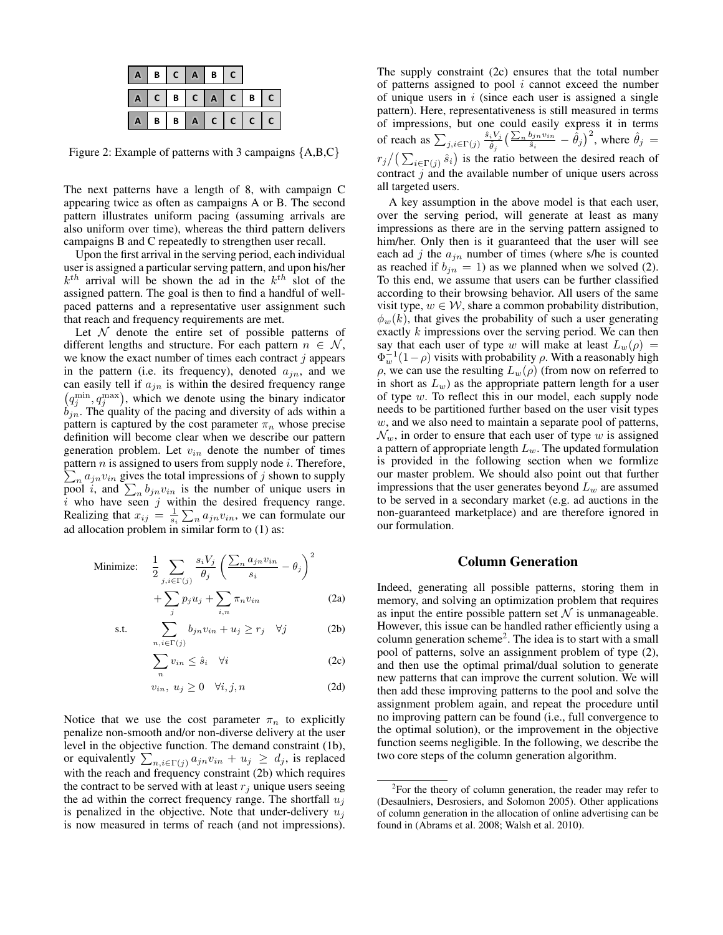| $\mathsf{A}$   |               |  | B C A B C |                         |  |
|----------------|---------------|--|-----------|-------------------------|--|
| $\mathbf{A}$   | C B C A C B C |  |           |                         |  |
| $\blacksquare$ |               |  |           | $B$ $B$ $A$ $C$ $C$ $C$ |  |

Figure 2: Example of patterns with 3 campaigns {A,B,C}

The next patterns have a length of 8, with campaign C appearing twice as often as campaigns A or B. The second pattern illustrates uniform pacing (assuming arrivals are also uniform over time), whereas the third pattern delivers campaigns B and C repeatedly to strengthen user recall.

Upon the first arrival in the serving period, each individual user is assigned a particular serving pattern, and upon his/her  $k^{th}$  arrival will be shown the ad in the  $k^{th}$  slot of the assigned pattern. The goal is then to find a handful of wellpaced patterns and a representative user assignment such that reach and frequency requirements are met.

Let  $\mathcal N$  denote the entire set of possible patterns of different lengths and structure. For each pattern  $n \in \mathcal{N}$ , we know the exact number of times each contract  $j$  appears in the pattern (i.e. its frequency), denoted  $a_{in}$ , and we can easily tell if  $a_{jn}$  is within the desired frequency range  $(q_j^{\text{min}}, q_j^{\text{max}})$ , which we denote using the binary indicator  $b_{jn}$ . The quality of the pacing and diversity of ads within a pattern is captured by the cost parameter  $\pi_n$  whose precise definition will become clear when we describe our pattern generation problem. Let  $v_{in}$  denote the number of times  $\sum_{n} a_{jn} v_{in}$  gives the total impressions of j shown to supply pattern  $n$  is assigned to users from supply node  $i$ . Therefore, pool i, and  $\sum_{n} b_{jn} v_{in}$  is the number of unique users in  $i$  who have seen  $j$  within the desired frequency range. Realizing that  $x_{ij} = \frac{1}{s_i} \sum_n a_{jn} v_{in}$ , we can formulate our ad allocation problem in similar form to (1) as:

Minimize: 
$$
\frac{1}{2} \sum_{j,i \in \Gamma(j)} \frac{s_i V_j}{\theta_j} \left( \frac{\sum_n a_{jn} v_{in}}{s_i} - \theta_j \right)^2 + \sum p_j u_j + \sum \pi_n v_{in}
$$
 (2a)

$$
\text{s.t.} \qquad \sum_{n,i \in \Gamma(j)}^{j} b_{jn} v_{in} + u_j \ge r_j \quad \forall j \tag{2b}
$$

$$
\sum_{n} v_{in} \le \hat{s}_i \quad \forall i \tag{2c}
$$

$$
v_{in}, \ u_j \ge 0 \quad \forall i, j, n \tag{2d}
$$

Notice that we use the cost parameter  $\pi_n$  to explicitly penalize non-smooth and/or non-diverse delivery at the user level in the objective function. The demand constraint (1b), or equivalently  $\sum_{n,i \in \Gamma(j)} a_{jn} v_{in} + u_j \ge d_j$ , is replaced with the reach and frequency constraint (2b) which requires the contract to be served with at least  $r_j$  unique users seeing the ad within the correct frequency range. The shortfall  $u_i$ is penalized in the objective. Note that under-delivery  $u_i$ is now measured in terms of reach (and not impressions). The supply constraint (2c) ensures that the total number of patterns assigned to pool  $i$  cannot exceed the number of unique users in  $i$  (since each user is assigned a single pattern). Here, representativeness is still measured in terms of impressions, but one could easily express it in terms of reach as  $\sum_{j,i \in \Gamma(j)} \frac{\hat{s}_i V_j}{\hat{\theta}_i}$  $\frac{iV_j}{\hat{\theta}_j}\Big(\frac{\sum_n b_{jn}v_{in}}{\hat{s}_i}$  $(\hat{\theta}_{j}^{b_{jn}v_{in}} - \hat{\theta}_{j})^{2}$ , where  $\hat{\theta}_{j} =$  $r_j/(\sum_{i \in \Gamma(j)} \hat{s}_i)$  is the ratio between the desired reach of contract  $j$  and the available number of unique users across all targeted users.

A key assumption in the above model is that each user, over the serving period, will generate at least as many impressions as there are in the serving pattern assigned to him/her. Only then is it guaranteed that the user will see each ad j the  $a_{in}$  number of times (where s/he is counted as reached if  $b_{in} = 1$ ) as we planned when we solved (2). To this end, we assume that users can be further classified according to their browsing behavior. All users of the same visit type,  $w \in \mathcal{W}$ , share a common probability distribution,  $\phi_w(k)$ , that gives the probability of such a user generating exactly k impressions over the serving period. We can then say that each user of type w will make at least  $L_w(\rho)$  =  $\Phi_w^{-1}(1-\rho)$  visits with probability  $\rho$ . With a reasonably high  $\rho$ , we can use the resulting  $L_w(\rho)$  (from now on referred to in short as  $L_w$ ) as the appropriate pattern length for a user of type w. To reflect this in our model, each supply node needs to be partitioned further based on the user visit types w, and we also need to maintain a separate pool of patterns,  $\mathcal{N}_w$ , in order to ensure that each user of type w is assigned a pattern of appropriate length  $L_w$ . The updated formulation is provided in the following section when we formlize our master problem. We should also point out that further impressions that the user generates beyond  $L_w$  are assumed to be served in a secondary market (e.g. ad auctions in the non-guaranteed marketplace) and are therefore ignored in our formulation.

## Column Generation

Indeed, generating all possible patterns, storing them in memory, and solving an optimization problem that requires as input the entire possible pattern set  $N$  is unmanageable. However, this issue can be handled rather efficiently using a column generation scheme<sup>2</sup> . The idea is to start with a small pool of patterns, solve an assignment problem of type (2), and then use the optimal primal/dual solution to generate new patterns that can improve the current solution. We will then add these improving patterns to the pool and solve the assignment problem again, and repeat the procedure until no improving pattern can be found (i.e., full convergence to the optimal solution), or the improvement in the objective function seems negligible. In the following, we describe the two core steps of the column generation algorithm.

 $2$ For the theory of column generation, the reader may refer to (Desaulniers, Desrosiers, and Solomon 2005). Other applications of column generation in the allocation of online advertising can be found in (Abrams et al. 2008; Walsh et al. 2010).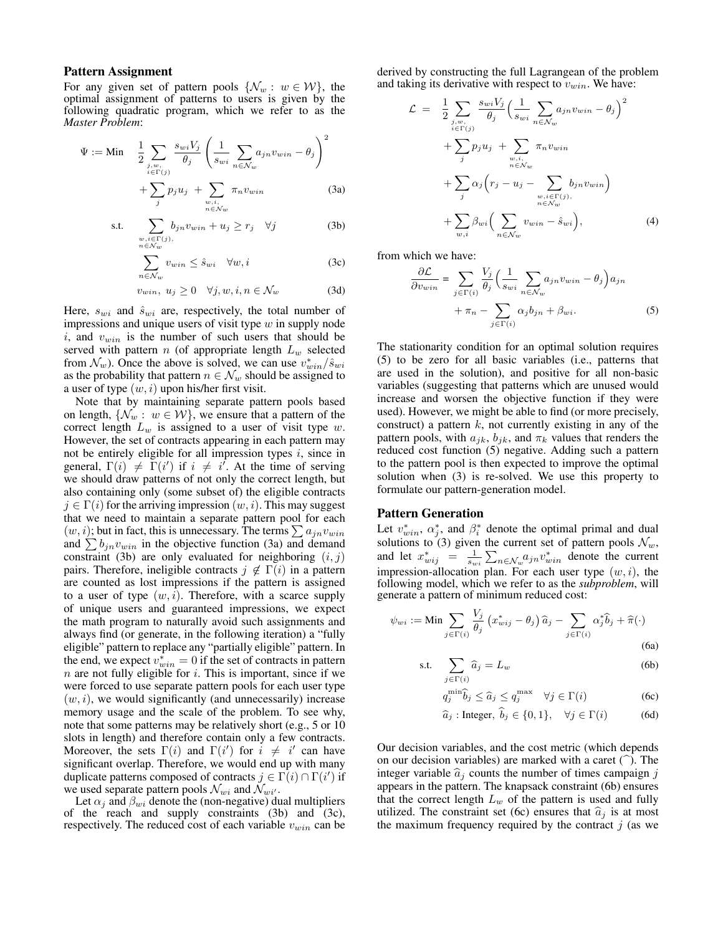#### Pattern Assignment

For any given set of pattern pools  $\{\mathcal{N}_w : w \in \mathcal{W}\}\$ , the optimal assignment of patterns to users is given by the following quadratic program, which we refer to as the *Master Problem*:

$$
\Psi := \text{Min} \quad \frac{1}{2} \sum_{\substack{j, w, \\ i \in \Gamma(j)}} \frac{s_{wi} V_j}{\theta_j} \left( \frac{1}{s_{wi}} \sum_{n \in \mathcal{N}_w} a_{jn} v_{win} - \theta_j \right)^2
$$

$$
+ \sum_j p_j u_j + \sum_{\substack{w, i, \\ n \in \mathcal{N}_w}} \pi_n v_{win} \tag{3a}
$$

s.t. 
$$
\sum_{\substack{w,i \in \Gamma(j), \\ n \in \mathcal{N}_w}} b_{jn} v_{win} + u_j \ge r_j \quad \forall j
$$
 (3b)

$$
\sum_{n \in \mathcal{N}_w} v_{win} \le \hat{s}_{wi} \quad \forall w, i \tag{3c}
$$

$$
v_{win}, \ u_j \ge 0 \quad \forall j, w, i, n \in \mathcal{N}_w \tag{3d}
$$

Here,  $s_{wi}$  and  $\hat{s}_{wi}$  are, respectively, the total number of impressions and unique users of visit type  $w$  in supply node i, and  $v_{win}$  is the number of such users that should be served with pattern  $n$  (of appropriate length  $L_w$  selected from  $\mathcal{N}_w$ ). Once the above is solved, we can use  $v_{win}^* / \hat{s}_{win}$ as the probability that pattern  $n \in \mathcal{N}_w$  should be assigned to a user of type  $(w, i)$  upon his/her first visit.

Note that by maintaining separate pattern pools based on length,  $\{\mathcal{N}_w : w \in \mathcal{W}\}\$ , we ensure that a pattern of the correct length  $L_w$  is assigned to a user of visit type  $w$ . However, the set of contracts appearing in each pattern may not be entirely eligible for all impression types  $i$ , since in general,  $\Gamma(i) \neq \Gamma(i')$  if  $i \neq i'$ . At the time of serving we should draw patterns of not only the correct length, but also containing only (some subset of) the eligible contracts  $j \in \Gamma(i)$  for the arriving impression  $(w, i)$ . This may suggest that we need to maintain a separate pattern pool for each  $(w, i)$ ; but in fact, this is unnecessary. The terms  $\sum a_{jn}v_{win}$ and  $\sum b_{jn}v_{win}$  in the objective function (3a) and demand constraint (3b) are only evaluated for neighboring  $(i, j)$ pairs. Therefore, ineligible contracts  $j \notin \Gamma(i)$  in a pattern are counted as lost impressions if the pattern is assigned to a user of type  $(w, i)$ . Therefore, with a scarce supply of unique users and guaranteed impressions, we expect the math program to naturally avoid such assignments and always find (or generate, in the following iteration) a "fully eligible" pattern to replace any "partially eligible" pattern. In the end, we expect  $v_{win}^* = 0$  if the set of contracts in pattern  $n$  are not fully eligible for  $i$ . This is important, since if we were forced to use separate pattern pools for each user type  $(w, i)$ , we would significantly (and unnecessarily) increase memory usage and the scale of the problem. To see why, note that some patterns may be relatively short (e.g., 5 or 10 slots in length) and therefore contain only a few contracts. Moreover, the sets  $\Gamma(i)$  and  $\Gamma(i')$  for  $i \neq i'$  can have significant overlap. Therefore, we would end up with many duplicate patterns composed of contracts  $j \in \Gamma(i) \cap \Gamma(i')$  if we used separate pattern pools  $\mathcal{N}_{wi}$  and  $\mathcal{N}_{wi'}$ .

Let  $\alpha_i$  and  $\beta_{wi}$  denote the (non-negative) dual multipliers of the reach and supply constraints  $(3b)$  and  $(3c)$ , respectively. The reduced cost of each variable  $v_{win}$  can be derived by constructing the full Lagrangean of the problem and taking its derivative with respect to  $v_{win}$ . We have:

$$
\mathcal{L} = \frac{1}{2} \sum_{\substack{j, w_i \\ i \in \Gamma(j)}} \frac{s_{wi} V_j}{\theta_j} \Big( \frac{1}{s_{wi}} \sum_{n \in \mathcal{N}_w} a_{jn} v_{win} - \theta_j \Big)^2 + \sum_{j} p_j u_j + \sum_{\substack{w, i, \\ n \in \mathcal{N}_w}} \pi_n v_{win} + \sum_{j} \alpha_j \Big( r_j - u_j - \sum_{\substack{w, i \in \Gamma(j), \\ n \in \mathcal{N}_w}} b_{jn} v_{win} \Big) + \sum_{w, i} \beta_{wi} \Big( \sum_{n \in \mathcal{N}_w} v_{win} - \hat{s}_{wi} \Big), \tag{4}
$$

from which we have:

$$
\frac{\partial \mathcal{L}}{\partial v_{win}} = \sum_{j \in \Gamma(i)} \frac{V_j}{\theta_j} \left( \frac{1}{s_{wi}} \sum_{n \in \mathcal{N}_w} a_{jn} v_{win} - \theta_j \right) a_{jn} + \pi_n - \sum_{j \in \Gamma(i)} \alpha_j b_{jn} + \beta_{wi}.
$$
 (5)

The stationarity condition for an optimal solution requires (5) to be zero for all basic variables (i.e., patterns that are used in the solution), and positive for all non-basic variables (suggesting that patterns which are unused would increase and worsen the objective function if they were used). However, we might be able to find (or more precisely, construct) a pattern  $k$ , not currently existing in any of the pattern pools, with  $a_{jk}$ ,  $b_{jk}$ , and  $\pi_k$  values that renders the reduced cost function (5) negative. Adding such a pattern to the pattern pool is then expected to improve the optimal solution when (3) is re-solved. We use this property to formulate our pattern-generation model.

### Pattern Generation

Let  $v_{win}^*$ ,  $\alpha_j^*$ , and  $\beta_i^*$  denote the optimal primal and dual solutions to (3) given the current set of pattern pools  $\mathcal{N}_w$ , and let  $x_{wij}^* = \frac{1}{s_{wi}} \sum_{n \in \mathcal{N}_w} a_{jn} v_{win}^*$  denote the current impression-allocation plan. For each user type  $(w, i)$ , the following model, which we refer to as the *subproblem*, will generate a pattern of minimum reduced cost:

$$
\psi_{wi} := \text{Min} \sum_{j \in \Gamma(i)} \frac{V_j}{\theta_j} \left( x_{wij}^* - \theta_j \right) \widehat{a}_j - \sum_{j \in \Gamma(i)} \alpha_j^* \widehat{b}_j + \widehat{\pi}(\cdot) \tag{6a}
$$

$$
\text{s.t.} \quad \sum_{j \in \Gamma(i)} \widehat{a}_j = L_w \tag{6b}
$$

$$
q_j^{\min}\widehat{b}_j \le \widehat{a}_j \le q_j^{\max} \quad \forall j \in \Gamma(i)
$$
 (6c)

$$
\widehat{a}_j: \text{Integer}, \ \widehat{b}_j \in \{0, 1\}, \quad \forall j \in \Gamma(i) \tag{6d}
$$

Our decision variables, and the cost metric (which depends on our decision variables) are marked with a caret  $\hat{ }$ . The integer variable  $\hat{a}_i$  counts the number of times campaign j appears in the pattern. The knapsack constraint (6b) ensures that the correct length  $L_w$  of the pattern is used and fully utilized. The constraint set (6c) ensures that  $\hat{a}_i$  is at most the maximum frequency required by the contract  $j$  (as we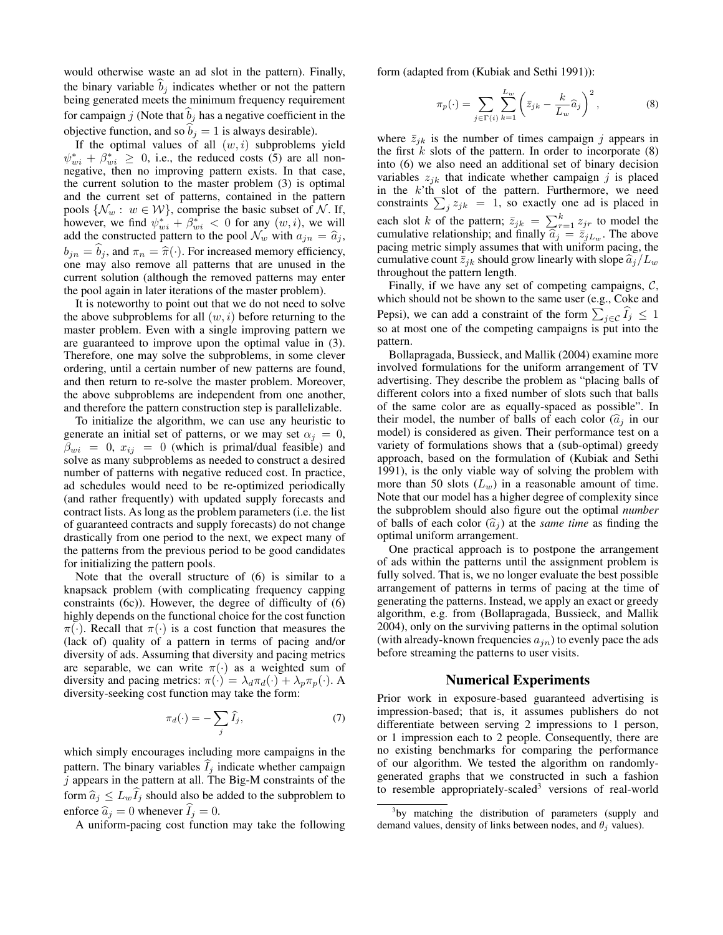would otherwise waste an ad slot in the pattern). Finally, the binary variable  $b_j$  indicates whether or not the pattern being generated meets the minimum frequency requirement for campaign j (Note that  $b_j$  has a negative coefficient in the objective function, and so  $b_j = 1$  is always desirable).

If the optimal values of all  $(w, i)$  subproblems yield  $\psi_{wi}^* + \beta_{wi}^* \geq 0$ , i.e., the reduced costs (5) are all nonnegative, then no improving pattern exists. In that case, the current solution to the master problem (3) is optimal and the current set of patterns, contained in the pattern pools  $\{\mathcal{N}_w : w \in \mathcal{W}\}\)$ , comprise the basic subset of  $\mathcal{N}\$ . If, however, we find  $\psi_{wi}^* + \beta_{wi}^* < 0$  for any  $(w, i)$ , we will add the constructed pattern to the pool  $\mathcal{N}_w$  with  $a_{jn} = \hat{a}_j$ ,  $b_{jn} = b_j$ , and  $\pi_n = \hat{\pi}(\cdot)$ . For increased memory efficiency, one may also remove all patterns that are unused in the current solution (although the removed patterns may enter the pool again in later iterations of the master problem).

It is noteworthy to point out that we do not need to solve the above subproblems for all  $(w, i)$  before returning to the master problem. Even with a single improving pattern we are guaranteed to improve upon the optimal value in (3). Therefore, one may solve the subproblems, in some clever ordering, until a certain number of new patterns are found, and then return to re-solve the master problem. Moreover, the above subproblems are independent from one another, and therefore the pattern construction step is parallelizable.

To initialize the algorithm, we can use any heuristic to generate an initial set of patterns, or we may set  $\alpha_i = 0$ ,  $\beta_{wi} = 0$ ,  $x_{ij} = 0$  (which is primal/dual feasible) and solve as many subproblems as needed to construct a desired number of patterns with negative reduced cost. In practice, ad schedules would need to be re-optimized periodically (and rather frequently) with updated supply forecasts and contract lists. As long as the problem parameters (i.e. the list of guaranteed contracts and supply forecasts) do not change drastically from one period to the next, we expect many of the patterns from the previous period to be good candidates for initializing the pattern pools.

Note that the overall structure of (6) is similar to a knapsack problem (with complicating frequency capping constraints (6c)). However, the degree of difficulty of (6) highly depends on the functional choice for the cost function  $\pi(\cdot)$ . Recall that  $\pi(\cdot)$  is a cost function that measures the (lack of) quality of a pattern in terms of pacing and/or diversity of ads. Assuming that diversity and pacing metrics are separable, we can write  $\pi(\cdot)$  as a weighted sum of diversity and pacing metrics:  $\pi(\cdot) = \lambda_d \pi_d(\cdot) + \lambda_p \pi_p(\cdot)$ . A diversity-seeking cost function may take the form:

$$
\pi_d(\cdot) = -\sum_j \widehat{I}_j,\tag{7}
$$

which simply encourages including more campaigns in the pattern. The binary variables  $\widehat{I}_j$  indicate whether campaign  $j$  appears in the pattern at all. The Big-M constraints of the form  $\hat{a}_j \leq L_w I_j$  should also be added to the subproblem to enforce  $\hat{a}_j = 0$  whenever  $\hat{I}_j = 0$ .

A uniform-pacing cost function may take the following

form (adapted from (Kubiak and Sethi 1991)):

$$
\pi_p(\cdot) = \sum_{j \in \Gamma(i)} \sum_{k=1}^{L_w} \left( \bar{z}_{jk} - \frac{k}{L_w} \hat{a}_j \right)^2, \tag{8}
$$

where  $\bar{z}_{jk}$  is the number of times campaign j appears in the first  $k$  slots of the pattern. In order to incorporate  $(8)$ into (6) we also need an additional set of binary decision variables  $z_{ik}$  that indicate whether campaign j is placed in the  $k$ 'th slot of the pattern. Furthermore, we need constraints  $\sum_j z_{jk} = 1$ , so exactly one ad is placed in each slot k of the pattern;  $\bar{z}_{jk} = \sum_{r=1}^{k} z_{jr}$  to model the cumulative relationship; and finally  $\hat{a}_j = \bar{z}_{jL_w}$ . The above<br>pacing metric simply assumes that with uniform pacing the pacing metric simply assumes that with uniform pacing, the cumulative count  $\bar{z}_{jk}$  should grow linearly with slope  $\widehat{a}_j/L_w$ throughout the pattern length.

Finally, if we have any set of competing campaigns,  $C$ , which should not be shown to the same user (e.g., Coke and Pepsi), we can add a constraint of the form  $\sum_{j \in \mathcal{C}} I_j \leq 1$ so at most one of the competing campaigns is put into the pattern.

Bollapragada, Bussieck, and Mallik (2004) examine more involved formulations for the uniform arrangement of TV advertising. They describe the problem as "placing balls of different colors into a fixed number of slots such that balls of the same color are as equally-spaced as possible". In their model, the number of balls of each color  $(\hat{a}_i)$  in our model) is considered as given. Their performance test on a variety of formulations shows that a (sub-optimal) greedy approach, based on the formulation of (Kubiak and Sethi 1991), is the only viable way of solving the problem with more than 50 slots  $(L_w)$  in a reasonable amount of time. Note that our model has a higher degree of complexity since the subproblem should also figure out the optimal *number* of balls of each color  $(\hat{a}_i)$  at the *same time* as finding the optimal uniform arrangement.

One practical approach is to postpone the arrangement of ads within the patterns until the assignment problem is fully solved. That is, we no longer evaluate the best possible arrangement of patterns in terms of pacing at the time of generating the patterns. Instead, we apply an exact or greedy algorithm, e.g. from (Bollapragada, Bussieck, and Mallik 2004), only on the surviving patterns in the optimal solution (with already-known frequencies  $a_{in}$ ) to evenly pace the ads before streaming the patterns to user visits.

## Numerical Experiments

Prior work in exposure-based guaranteed advertising is impression-based; that is, it assumes publishers do not differentiate between serving 2 impressions to 1 person, or 1 impression each to 2 people. Consequently, there are no existing benchmarks for comparing the performance of our algorithm. We tested the algorithm on randomlygenerated graphs that we constructed in such a fashion to resemble appropriately-scaled<sup>3</sup> versions of real-world

<sup>&</sup>lt;sup>3</sup>by matching the distribution of parameters (supply and demand values, density of links between nodes, and  $\theta_i$  values).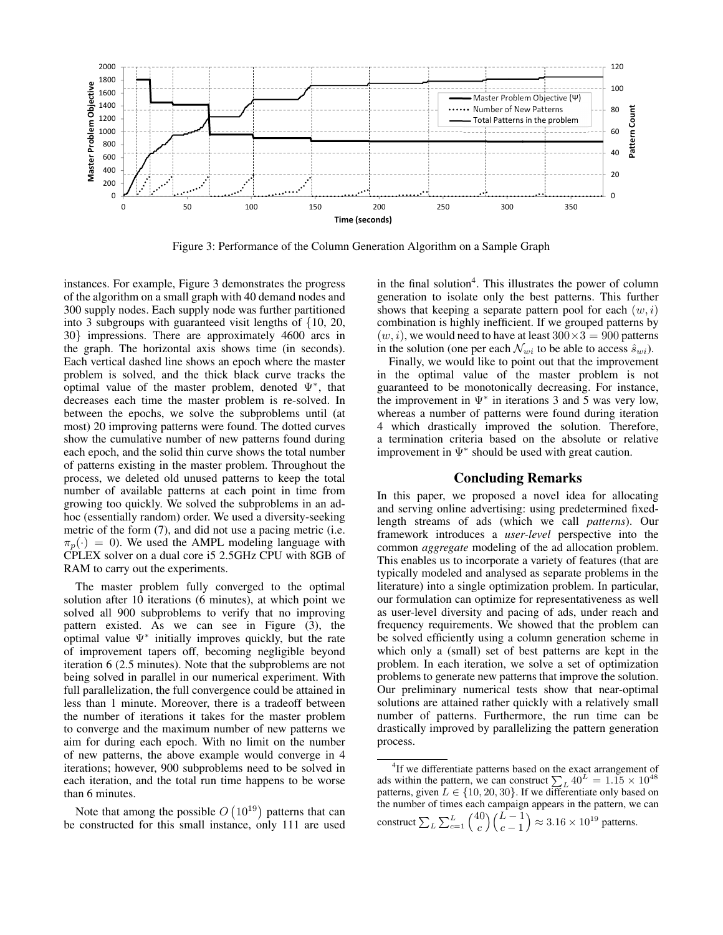

Figure 3: Performance of the Column Generation Algorithm on a Sample Graph

instances. For example, Figure 3 demonstrates the progress of the algorithm on a small graph with 40 demand nodes and 300 supply nodes. Each supply node was further partitioned into 3 subgroups with guaranteed visit lengths of {10, 20, 30} impressions. There are approximately 4600 arcs in the graph. The horizontal axis shows time (in seconds). Each vertical dashed line shows an epoch where the master problem is solved, and the thick black curve tracks the optimal value of the master problem, denoted  $\Psi^*$ , that decreases each time the master problem is re-solved. In between the epochs, we solve the subproblems until (at most) 20 improving patterns were found. The dotted curves show the cumulative number of new patterns found during each epoch, and the solid thin curve shows the total number of patterns existing in the master problem. Throughout the process, we deleted old unused patterns to keep the total number of available patterns at each point in time from growing too quickly. We solved the subproblems in an adhoc (essentially random) order. We used a diversity-seeking metric of the form (7), and did not use a pacing metric (i.e.  $\pi_p(\cdot) = 0$ ). We used the AMPL modeling language with CPLEX solver on a dual core i5 2.5GHz CPU with 8GB of RAM to carry out the experiments.

The master problem fully converged to the optimal solution after 10 iterations (6 minutes), at which point we solved all 900 subproblems to verify that no improving pattern existed. As we can see in Figure (3), the optimal value  $\Psi^*$  initially improves quickly, but the rate of improvement tapers off, becoming negligible beyond iteration 6 (2.5 minutes). Note that the subproblems are not being solved in parallel in our numerical experiment. With full parallelization, the full convergence could be attained in less than 1 minute. Moreover, there is a tradeoff between the number of iterations it takes for the master problem to converge and the maximum number of new patterns we aim for during each epoch. With no limit on the number of new patterns, the above example would converge in 4 iterations; however, 900 subproblems need to be solved in each iteration, and the total run time happens to be worse than 6 minutes.

Note that among the possible  $O(10^{19})$  patterns that can be constructed for this small instance, only 111 are used

in the final solution<sup>4</sup>. This illustrates the power of column generation to isolate only the best patterns. This further shows that keeping a separate pattern pool for each  $(w, i)$ combination is highly inefficient. If we grouped patterns by  $(w, i)$ , we would need to have at least  $300 \times 3 = 900$  patterns in the solution (one per each  $\mathcal{N}_{wi}$  to be able to access  $\hat{s}_{wi}$ ).

Finally, we would like to point out that the improvement in the optimal value of the master problem is not guaranteed to be monotonically decreasing. For instance, the improvement in  $\Psi^*$  in iterations 3 and 5 was very low, whereas a number of patterns were found during iteration 4 which drastically improved the solution. Therefore, a termination criteria based on the absolute or relative improvement in  $\Psi^*$  should be used with great caution.

## Concluding Remarks

In this paper, we proposed a novel idea for allocating and serving online advertising: using predetermined fixedlength streams of ads (which we call *patterns*). Our framework introduces a *user-level* perspective into the common *aggregate* modeling of the ad allocation problem. This enables us to incorporate a variety of features (that are typically modeled and analysed as separate problems in the literature) into a single optimization problem. In particular, our formulation can optimize for representativeness as well as user-level diversity and pacing of ads, under reach and frequency requirements. We showed that the problem can be solved efficiently using a column generation scheme in which only a (small) set of best patterns are kept in the problem. In each iteration, we solve a set of optimization problems to generate new patterns that improve the solution. Our preliminary numerical tests show that near-optimal solutions are attained rather quickly with a relatively small number of patterns. Furthermore, the run time can be drastically improved by parallelizing the pattern generation process.

<sup>&</sup>lt;sup>4</sup>If we differentiate patterns based on the exact arrangement of ads within the pattern, we can construct  $\sum_{L} 40^{L} = 1.15 \times 10^{48}$ patterns, given  $L \in \{10, 20, 30\}$ . If we differentiate only based on the number of times each campaign appears in the pattern, we can construct  $\sum_{L} \sum_{c=1}^{L} \binom{40}{c}$ c  $\bigwedge L-1$  $c-1$  $\big) \approx 3.16 \times 10^{19}$  patterns.